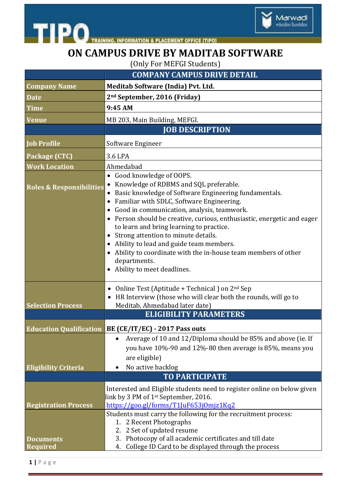

## **ON CAMPUS DRIVE BY MADITAB SOFTWARE**

Marwadi<br>education foundation

(Only For MEFGI Students)

|                                     | <b>COMPANY CAMPUS DRIVE DETAIL</b>                                                                                                                                                                                                                                                                                                                                                                                                                                                                                                                                                              |
|-------------------------------------|-------------------------------------------------------------------------------------------------------------------------------------------------------------------------------------------------------------------------------------------------------------------------------------------------------------------------------------------------------------------------------------------------------------------------------------------------------------------------------------------------------------------------------------------------------------------------------------------------|
| <b>Company Name</b>                 | Meditab Software (India) Pvt. Ltd.                                                                                                                                                                                                                                                                                                                                                                                                                                                                                                                                                              |
| <b>Date</b>                         | 2 <sup>nd</sup> September, 2016 (Friday)                                                                                                                                                                                                                                                                                                                                                                                                                                                                                                                                                        |
| Time                                | 9:45 AM                                                                                                                                                                                                                                                                                                                                                                                                                                                                                                                                                                                         |
| <b>Venue</b>                        | MB 203, Main Building, MEFGI.                                                                                                                                                                                                                                                                                                                                                                                                                                                                                                                                                                   |
|                                     | <b>JOB DESCRIPTION</b>                                                                                                                                                                                                                                                                                                                                                                                                                                                                                                                                                                          |
| <b>Job Profile</b>                  | Software Engineer                                                                                                                                                                                                                                                                                                                                                                                                                                                                                                                                                                               |
| Package (CTC)                       | 3.6 LPA                                                                                                                                                                                                                                                                                                                                                                                                                                                                                                                                                                                         |
| <b>Work Location</b>                | Ahmedabad                                                                                                                                                                                                                                                                                                                                                                                                                                                                                                                                                                                       |
| <b>Roles &amp; Responsibilities</b> | Good knowledge of OOPS.<br>$\bullet$<br>Knowledge of RDBMS and SQL preferable.<br>Basic knowledge of Software Engineering fundamentals.<br>Familiar with SDLC, Software Engineering.<br>$\bullet$<br>Good in communication, analysis, teamwork.<br>$\bullet$<br>Person should be creative, curious, enthusiastic, energetic and eager<br>to learn and bring learning to practice.<br>Strong attention to minute details.<br>$\bullet$<br>Ability to lead and guide team members.<br>Ability to coordinate with the in-house team members of other<br>departments.<br>Ability to meet deadlines. |
| <b>Selection Process</b>            | Online Test (Aptitude + Technical) on $2nd$ Sep<br>$\bullet$<br>HR Interview (those who will clear both the rounds, will go to<br>$\bullet$<br>Meditab, Ahmedabad later date)<br><b>ELIGIBILITY PARAMETERS</b>                                                                                                                                                                                                                                                                                                                                                                                  |
|                                     | <b>Education Qualification BE (CE/IT/EC) - 2017 Pass outs</b>                                                                                                                                                                                                                                                                                                                                                                                                                                                                                                                                   |
| <b>Eligibility Criteria</b>         | Average of 10 and 12/Diploma should be 85% and above (ie. If<br>you have 10%-90 and 12%-80 then average is 85%, means you<br>are eligible)<br>No active backlog                                                                                                                                                                                                                                                                                                                                                                                                                                 |
|                                     | <b>TO PARTICIPATE</b>                                                                                                                                                                                                                                                                                                                                                                                                                                                                                                                                                                           |
| <b>Registration Process</b>         | Interested and Eligible students need to register online on below given<br>link by 3 PM of 1st September, 2016.<br>https://goo.gl/forms/T1JuF653jOmjz1Kq2<br>Students must carry the following for the recruitment process:                                                                                                                                                                                                                                                                                                                                                                     |
| <b>Documents</b><br>Required        | 1. 2 Recent Photographs<br>2. 2 Set of updated resume<br>3. Photocopy of all academic certificates and till date<br>College ID Card to be displayed through the process<br>4.                                                                                                                                                                                                                                                                                                                                                                                                                   |